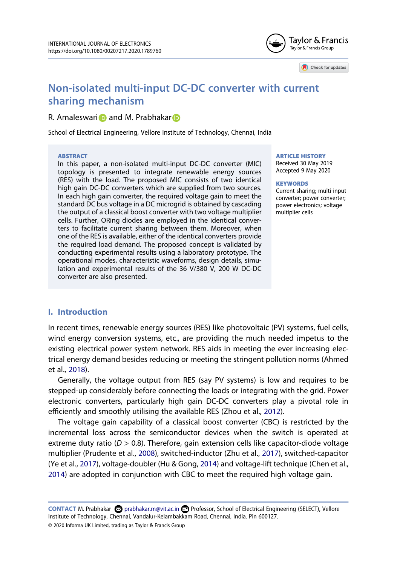

Check for updates

# **Non-isolated multi-input DC-DC converter with current sharing mechanism**

## R. Amaleswari **D** and M. Prabhakar D

School of Electrical Engineering, Vellore Institute of Technology, Chennai, India

#### **ABSTRACT**

In this paper, a non-isolated multi-input DC-DC converter (MIC) topology is presented to integrate renewable energy sources (RES) with the load. The proposed MIC consists of two identical high gain DC-DC converters which are supplied from two sources. In each high gain converter, the required voltage gain to meet the standard DC bus voltage in a DC microgrid is obtained by cascading the output of a classical boost converter with two voltage multiplier cells. Further, ORing diodes are employed in the identical converters to facilitate current sharing between them. Moreover, when one of the RES is available, either of the identical converters provide the required load demand. The proposed concept is validated by conducting experimental results using a laboratory prototype. The operational modes, characteristic waveforms, design details, simulation and experimental results of the 36 V/380 V, 200 W DC-DC converter are also presented.

#### ARTICLE HISTORY

Received 30 May 2019 Accepted 9 May 2020

#### **KEYWORDS**

Current sharing; multi-input converter; power converter; power electronics; voltage multiplier cells

## **I. Introduction**

In recent times, renewable energy sources (RES) like photovoltaic (PV) systems, fuel cells, wind energy conversion systems, etc., are providing the much needed impetus to the existing electrical power system network. RES aids in meeting the ever increasing electrical energy demand besides reducing or meeting the stringent pollution norms (Ahmed et al., 2018).

Generally, the voltage output from RES (say PV systems) is low and requires to be stepped-up considerably before connecting the loads or integrating with the grid. Power electronic converters, particularly high gain DC-DC converters play a pivotal role in efficiently and smoothly utilising the available RES (Zhou et al., 2012).

The voltage gain capability of a classical boost converter (CBC) is restricted by the incremental loss across the semiconductor devices when the switch is operated at extreme duty ratio ( $D > 0.8$ ). Therefore, gain extension cells like capacitor-diode voltage multiplier (Prudente et al., 2008), switched-inductor (Zhu et al., 2017), switched-capacitor (Ye et al., 2017), voltage-doubler (Hu & Gong, 2014) and voltage-lift technique (Chen et al., 2014) are adopted in conjunction with CBC to meet the required high voltage gain.

CONTACT M. Prabhakar **۞** prabhakar.m@vit.ac.in **■** Professor, School of Electrical Engineering (SELECT), Vellore Institute of Technology, Chennai, Vandalur-Kelambakkam Road, Chennai, India. Pin 600127.

© 2020 Informa UK Limited, trading as Taylor & Francis Group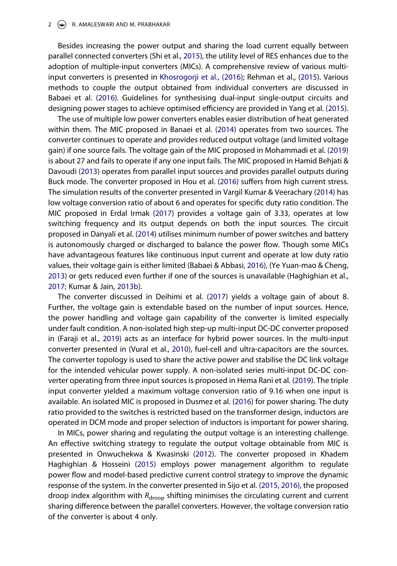#### 2  $\left(\bigoplus\right)$  R. AMALESWARI AND M. PRABHAKAR

Besides increasing the power output and sharing the load current equally between parallel connected converters (Shi et al., 2015), the utility level of RES enhances due to the adoption of multiple-input converters (MICs). A comprehensive review of various multiinput converters is presented in Khosrogorji et al., (2016); Rehman et al., (2015). Various methods to couple the output obtained from individual converters are discussed in Babaei et al. (2016). Guidelines for synthesising dual-input single-output circuits and designing power stages to achieve optimised efficiency are provided in Yang et al. (2015).

The use of multiple low power converters enables easier distribution of heat generated within them. The MIC proposed in Banaei et al. (2014) operates from two sources. The converter continues to operate and provides reduced output voltage (and limited voltage gain) if one source fails. The voltage gain of the MIC proposed in Mohammadi et al. (2019) is about 27 and fails to operate if any one input fails. The MIC proposed in Hamid Behjati & Davoudi (2013) operates from parallel input sources and provides parallel outputs during Buck mode. The converter proposed in Hou et al. (2016) suffers from high current stress. The simulation results of the converter presented in Vargil Kumar & Veerachary (2014) has low voltage conversion ratio of about 6 and operates for specific duty ratio condition. The MIC proposed in Erdal Irmak (2017) provides a voltage gain of 3.33, operates at low switching frequency and its output depends on both the input sources. The circuit proposed in Danyali et al. (2014) utilises minimum number of power switches and battery is autonomously charged or discharged to balance the power flow. Though some MICs have advantageous features like continuous input current and operate at low duty ratio values, their voltage gain is either limited (Babaei & Abbasi, 2016), (Ye Yuan-mao & Cheng, 2013) or gets reduced even further if one of the sources is unavailable (Haghighian et al., 2017; Kumar & Jain, 2013b).

The converter discussed in Deihimi et al. (2017) yields a voltage gain of about 8. Further, the voltage gain is extendable based on the number of input sources. Hence, the power handling and voltage gain capability of the converter is limited especially under fault condition. A non-isolated high step-up multi-input DC-DC converter proposed in (Faraji et al., 2019) acts as an interface for hybrid power sources. In the multi-input converter presented in (Vural et al., 2010), fuel-cell and ultra-capacitors are the sources. The converter topology is used to share the active power and stabilise the DC link voltage for the intended vehicular power supply. A non-isolated series multi-input DC-DC converter operating from three input sources is proposed in Hema Rani et al. (2019). The triple input converter yielded a maximum voltage conversion ratio of 9.16 when one input is available. An isolated MIC is proposed in Dusmez et al. (2016) for power sharing. The duty ratio provided to the switches is restricted based on the transformer design, inductors are operated in DCM mode and proper selection of inductors is important for power sharing.

In MICs, power sharing and regulating the output voltage is an interesting challenge. An effective switching strategy to regulate the output voltage obtainable from MIC is presented in Onwuchekwa & Kwasinski (2012). The converter proposed in Khadem Haghighian & Hosseini (2015) employs power management algorithm to regulate power flow and model-based predictive current control strategy to improve the dynamic response of the system. In the converter presented in Sijo et al. (2015, 2016), the proposed droop index algorithm with  $R_{\text{droom}}$  shifting minimises the circulating current and current sharing difference between the parallel converters. However, the voltage conversion ratio of the converter is about 4 only.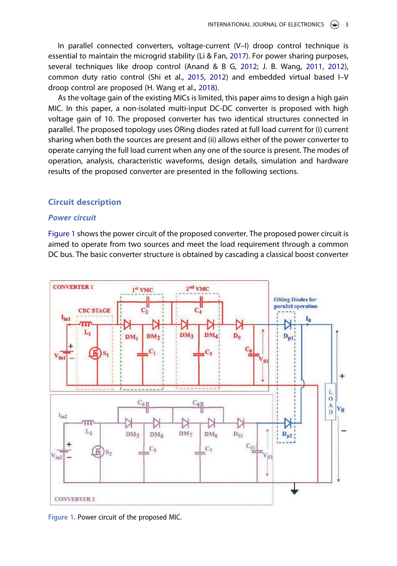In parallel connected converters, voltage-current (V–I) droop control technique is essential to maintain the microgrid stability (Li & Fan, 2017). For power sharing purposes, several techniques like droop control (Anand & B G, 2012; J. B. Wang, 2011, 2012), common duty ratio control (Shi et al., 2015, 2012) and embedded virtual based I–V droop control are proposed (H. Wang et al., 2018).

As the voltage gain of the existing MICs is limited, this paper aims to design a high gain MIC. In this paper, a non-isolated multi-input DC-DC converter is proposed with high voltage gain of 10. The proposed converter has two identical structures connected in parallel. The proposed topology uses ORing diodes rated at full load current for (i) current sharing when both the sources are present and (ii) allows either of the power converter to operate carrying the full load current when any one of the source is present. The modes of operation, analysis, characteristic waveforms, design details, simulation and hardware results of the proposed converter are presented in the following sections.

## **Circuit description**

## **Power circuit**

Figure 1 shows the power circuit of the proposed converter. The proposed power circuit is aimed to operate from two sources and meet the load requirement through a common DC bus. The basic converter structure is obtained by cascading a classical boost converter



**Figure 1.** Power circuit of the proposed MIC.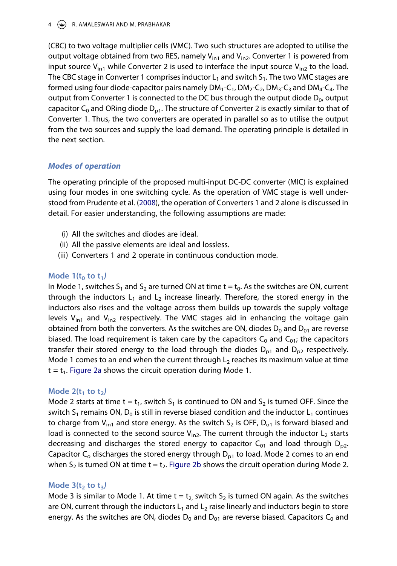## 4 **A** R. AMALESWARI AND M. PRABHAKAR

(CBC) to two voltage multiplier cells (VMC). Two such structures are adopted to utilise the output voltage obtained from two RES, namely  $V_{in1}$  and  $V_{in2}$ . Converter 1 is powered from input source  $V_{in1}$  while Converter 2 is used to interface the input source  $V_{in2}$  to the load. The CBC stage in Converter 1 comprises inductor  $L_1$  and switch  $S_1$ . The two VMC stages are formed using four diode-capacitor pairs namely  $DM_1$ -C<sub>1</sub>,  $DM_2$ -C<sub>2</sub>,  $DM_3$ -C<sub>3</sub> and  $DM_4$ -C<sub>4</sub>. The output from Converter 1 is connected to the DC bus through the output diode  $D_0$ , output capacitor C<sub>0</sub> and ORing diode D<sub>p1</sub>. The structure of Converter 2 is exactly similar to that of Converter 1. Thus, the two converters are operated in parallel so as to utilise the output from the two sources and supply the load demand. The operating principle is detailed in the next section.

## **Modes of operation**

The operating principle of the proposed multi-input DC-DC converter (MIC) is explained using four modes in one switching cycle. As the operation of VMC stage is well understood from Prudente et al. (2008), the operation of Converters 1 and 2 alone is discussed in detail. For easier understanding, the following assumptions are made:

- (i) All the switches and diodes are ideal.
- (ii) All the passive elements are ideal and lossless.
- (iii) Converters 1 and 2 operate in continuous conduction mode.

## **Mode 1(t0 to t1)**

In Mode 1, switches  $S_1$  and  $S_2$  are turned ON at time t =  $t_0$ . As the switches are ON, current through the inductors  $L_1$  and  $L_2$  increase linearly. Therefore, the stored energy in the inductors also rises and the voltage across them builds up towards the supply voltage levels  $V_{in1}$  and  $V_{in2}$  respectively. The VMC stages aid in enhancing the voltage gain obtained from both the converters. As the switches are ON, diodes  $D_0$  and  $D_{01}$  are reverse biased. The load requirement is taken care by the capacitors  $C_0$  and  $C_{01}$ ; the capacitors transfer their stored energy to the load through the diodes  $D_{p1}$  and  $D_{p2}$  respectively. Mode 1 comes to an end when the current through  $L<sub>2</sub>$  reaches its maximum value at time  $t = t_1$ . Figure 2a shows the circuit operation during Mode 1.

## **Mode 2(t1 to t2)**

Mode 2 starts at time t =  $t_1$ , switch  $S_1$  is continued to ON and  $S_2$  is turned OFF. Since the switch  $S_1$  remains ON,  $D_0$  is still in reverse biased condition and the inductor  $L_1$  continues to charge from  $V_{in1}$  and store energy. As the switch  $S_2$  is OFF,  $D_{o1}$  is forward biased and load is connected to the second source  $V_{in2}$ . The current through the inductor  $L_2$  starts decreasing and discharges the stored energy to capacitor  $C_{01}$  and load through  $D_{p2}$ . Capacitor  $C_0$  discharges the stored energy through  $D_{p1}$  to load. Mode 2 comes to an end when  $S_2$  is turned ON at time t = t<sub>2</sub>. Figure 2b shows the circuit operation during Mode 2.

## **Mode 3(t2 to t3)**

Mode 3 is similar to Mode 1. At time t =  $t_2$  switch S<sub>2</sub> is turned ON again. As the switches are ON, current through the inductors  $L_1$  and  $L_2$  raise linearly and inductors begin to store energy. As the switches are ON, diodes  $D_0$  and  $D_{01}$  are reverse biased. Capacitors  $C_0$  and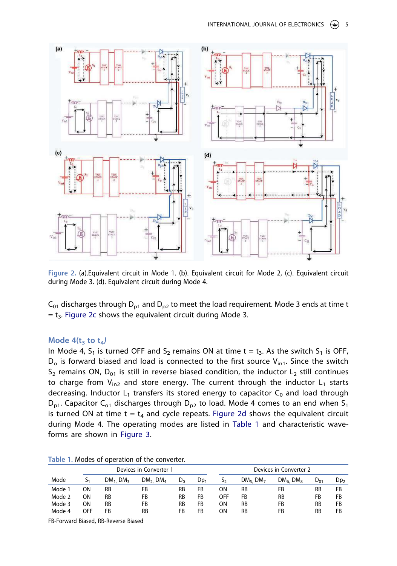

**Figure 2.** (a).Equivalent circuit in Mode 1. (b). Equivalent circuit for Mode 2, (c). Equivalent circuit during Mode 3. (d). Equivalent circuit during Mode 4.

 $C_{01}$  discharges through D<sub>p1</sub> and D<sub>p2</sub> to meet the load requirement. Mode 3 ends at time t  $=$  t<sub>3</sub>. Figure 2c shows the equivalent circuit during Mode 3.

## **Mode 4(t3 to t4)**

In Mode 4,  $S_1$  is turned OFF and  $S_2$  remains ON at time t =  $t_3$ . As the switch  $S_1$  is OFF,  $D<sub>o</sub>$  is forward biased and load is connected to the first source  $V<sub>in1</sub>$ . Since the switch  $S_2$  remains ON,  $D_{01}$  is still in reverse biased condition, the inductor L<sub>2</sub> still continues to charge from  $V_{in2}$  and store energy. The current through the inductor  $L_1$  starts decreasing. Inductor  $L_1$  transfers its stored energy to capacitor  $C_0$  and load through  $D_{p1}$ . Capacitor C<sub>01</sub> discharges through  $D_{p2}$  to load. Mode 4 comes to an end when S<sub>1</sub> is turned ON at time  $t = t_4$  and cycle repeats. Figure 2d shows the equivalent circuit during Mode 4. The operating modes are listed in Table 1 and characteristic waveforms are shown in Figure 3.

|        |            |                        | Devices in Converter 1          |           |        |     |                                 | Devices in Converter 2          |           |                 |
|--------|------------|------------------------|---------------------------------|-----------|--------|-----|---------------------------------|---------------------------------|-----------|-----------------|
| Mode   | 1ر         | $DM_1$ DM <sub>3</sub> | DM <sub>2</sub> DM <sub>4</sub> | $D_0$     | $Dp_1$ | دد  | DM <sub>5</sub> DM <sub>7</sub> | DM <sub>6</sub> DM <sub>8</sub> | $D_{01}$  | Dp <sub>2</sub> |
| Mode 1 | ΟN         | <b>RB</b>              | FB                              | <b>RB</b> | FB     | OΝ  | RB                              | FB                              | <b>RB</b> | FB              |
| Mode 2 | ΟN         | <b>RB</b>              | FB                              | <b>RB</b> | FB     | OFF | FB                              | RB                              | FB        | FB              |
| Mode 3 | ΟN         | <b>RB</b>              | FB                              | <b>RB</b> | FB     | OΝ  | <b>RB</b>                       | FB                              | RB        | FB              |
| Mode 4 | <b>OFF</b> | FB                     | <b>RB</b>                       | FB        | FB     | ΟN  | <b>RB</b>                       | FB                              | <b>RB</b> | FB              |

**Table 1.** Modes of operation of the converter.

FB-Forward Biased, RB-Reverse Biased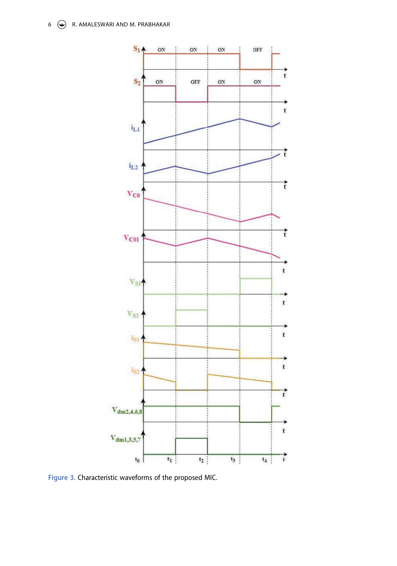

**Figure 3.** Characteristic waveforms of the proposed MIC.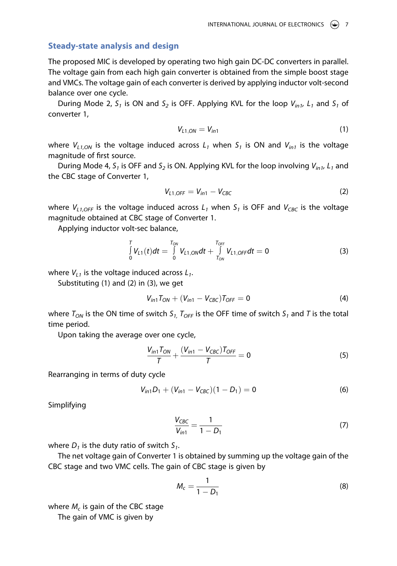## **Steady-state analysis and design**

The proposed MIC is developed by operating two high gain DC-DC converters in parallel. The voltage gain from each high gain converter is obtained from the simple boost stage and VMCs. The voltage gain of each converter is derived by applying inductor volt-second balance over one cycle.

During Mode 2,  $S_1$  is ON and  $S_2$  is OFF. Applying KVL for the loop  $V_{in1}$ ,  $L_1$  and  $S_1$  of converter 1,

$$
V_{L1,ON}=V_{in1}
$$
 (1)

where  $V_{L1,ON}$  is the voltage induced across  $L_1$  when  $S_1$  is ON and  $V_{in1}$  is the voltage magnitude of first source.

During Mode 4,  $S_1$  is OFF and  $S_2$  is ON. Applying KVL for the loop involving  $V_{in1}$ ,  $L_1$  and the CBC stage of Converter 1,

$$
V_{L1,OFF} = V_{in1} - V_{CBC}
$$
 (2)

where  $V_{1,1 \text{OFF}}$  is the voltage induced across  $L_1$  when  $S_1$  is OFF and  $V_{CRC}$  is the voltage magnitude obtained at CBC stage of Converter 1.

Applying inductor volt-sec balance,

$$
\int_{0}^{T} V_{L1}(t)dt = \int_{0}^{T_{ON}} V_{L1,ON}dt + \int_{T_{ON}}^{T_{OFF}} V_{L1,OFF}dt = 0
$$
\n(3)

where  $V_{L1}$  is the voltage induced across  $L_1$ .

Substituting (1) and (2) in (3), we get

$$
V_{in1}T_{ON} + (V_{in1} - V_{CBC})T_{OFF} = 0
$$
 (4)

where  $T_{ON}$  is the ON time of switch  $S_1$ ,  $T_{OFF}$  is the OFF time of switch  $S_1$  and T is the total time period.

Upon taking the average over one cycle,

$$
\frac{V_{in1}T_{ON}}{T} + \frac{(V_{in1} - V_{CBC})T_{OFF}}{T} = 0
$$
 (5)

Rearranging in terms of duty cycle

$$
V_{in1}D_1 + (V_{in1} - V_{CBC})(1 - D_1) = 0
$$
 (6)

Simplifying

$$
\frac{V_{CBC}}{V_{in1}} = \frac{1}{1 - D_1}
$$
 (7)

where  $D_1$  is the duty ratio of switch  $S_1$ .

The net voltage gain of Converter 1 is obtained by summing up the voltage gain of the CBC stage and two VMC cells. The gain of CBC stage is given by

$$
M_c = \frac{1}{1 - D_1} \tag{8}
$$

where  $M_c$  is gain of the CBC stage

The gain of VMC is given by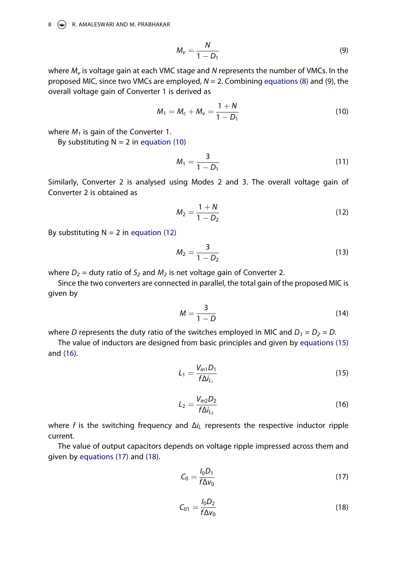8  $\leftrightarrow$  R. AMALESWARI AND M. PRABHAKAR

$$
M_{\nu} = \frac{N}{1 - D_1} \tag{9}
$$

where  $M_{\nu}$  is voltage gain at each VMC stage and N represents the number of VMCs. In the proposed MIC, since two VMCs are employed,  $N = 2$ . Combining equations (8) and (9), the overall voltage gain of Converter 1 is derived as

$$
M_1 = M_c + M_v = \frac{1+N}{1-D_1}
$$
 (10)

where  $M_1$  is gain of the Converter 1.

By substituting  $N = 2$  in equation (10)

$$
M_1 = \frac{3}{1 - D_1} \tag{11}
$$

Similarly, Converter 2 is analysed using Modes 2 and 3. The overall voltage gain of Converter 2 is obtained as

$$
M_2 = \frac{1+N}{1-D_2} \tag{12}
$$

By substituting  $N = 2$  in equation (12)

$$
M_2 = \frac{3}{1 - D_2} \tag{13}
$$

where  $D_2$  = duty ratio of  $S_2$  and  $M_2$  is net voltage gain of Converter 2.

Since the two converters are connected in parallel, the total gain of the proposed MIC is given by

$$
M = \frac{3}{1 - D} \tag{14}
$$

where D represents the duty ratio of the switches employed in MIC and  $D_1 = D_2 = D$ .

The value of inductors are designed from basic principles and given by equations (15) and (16).

$$
L_1 = \frac{V_{in1}D_1}{f\Delta i_{L_1}}
$$
 (15)

$$
L_2 = \frac{V_{in2}D_2}{f\Delta i_{L_2}}
$$
 (16)

where f is the switching frequency and  $\Delta i_L$  represents the respective inductor ripple current.

The value of output capacitors depends on voltage ripple impressed across them and given by equations (17) and (18).

$$
C_0 = \frac{I_0 D_1}{f \Delta v_0} \tag{17}
$$

$$
C_{01} = \frac{I_0 D_2}{f \Delta v_0}
$$
 (18)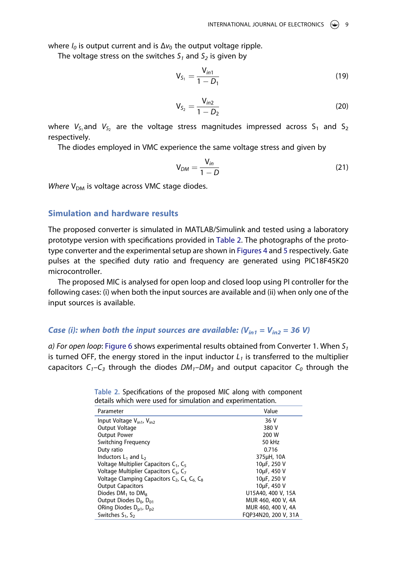where  $I_0$  is output current and is  $\Delta v_0$  the output voltage ripple.

The voltage stress on the switches  $S_1$  and  $S_2$  is given by

$$
V_{S_1} = \frac{V_{in1}}{1 - D_1}
$$
 (19)

$$
V_{S_2} = \frac{V_{in2}}{1 - D_2}
$$
 (20)

where  $V_{S_1}$ and  $V_{S_2}$  are the voltage stress magnitudes impressed across  $S_1$  and  $S_2$ respectively.

The diodes employed in VMC experience the same voltage stress and given by

$$
V_{DM} = \frac{V_{in}}{1 - D} \tag{21}
$$

Where  $V_{DM}$  is voltage across VMC stage diodes.

## **Simulation and hardware results**

The proposed converter is simulated in MATLAB/Simulink and tested using a laboratory prototype version with specifications provided in Table 2. The photographs of the prototype converter and the experimental setup are shown in Figures 4 and 5 respectively. Gate pulses at the specified duty ratio and frequency are generated using PIC18F45K20 microcontroller.

The proposed MIC is analysed for open loop and closed loop using PI controller for the following cases: (i) when both the input sources are available and (ii) when only one of the input sources is available.

## **Case (i): when both the input sources are available:**  $(V_{in1} = V_{in2} = 36 V)$

a) For open loop: Figure 6 shows experimental results obtained from Converter 1. When  $S_1$ is turned OFF, the energy stored in the input inductor  $L_1$  is transferred to the multiplier capacitors  $C_1-C_3$  through the diodes  $DM_1-DM_3$  and output capacitor  $C_0$  through the

| Parameter                                                     | Value                |  |  |
|---------------------------------------------------------------|----------------------|--|--|
| Input Voltage $V_{\text{in1}}$ , $V_{\text{in2}}$             | 36 V                 |  |  |
| Output Voltage                                                | 380 V                |  |  |
| <b>Output Power</b>                                           | 200 W                |  |  |
| <b>Switching Frequency</b>                                    | 50 kHz               |  |  |
| Duty ratio                                                    | 0.716                |  |  |
| Inductors $L_1$ and $L_2$                                     | 375µH, 10A           |  |  |
| Voltage Multiplier Capacitors $C_1$ , $C_5$                   | 10µF, 250 V          |  |  |
| Voltage Multiplier Capacitors C <sub>3</sub> , C <sub>7</sub> | 10µF, 450 V          |  |  |
| Voltage Clamping Capacitors $C_2$ , $C_4$ , $C_6$ , $C_8$     | 10µF, 250 V          |  |  |
| <b>Output Capacitors</b>                                      | 10µF, 450 V          |  |  |
| Diodes $DM_1$ to $DM_8$                                       | U15A40, 400 V, 15A   |  |  |
| Output Diodes D <sub>0</sub> , D <sub>01</sub>                | MUR 460, 400 V, 4A   |  |  |
| ORing Diodes D <sub>p1</sub> , D <sub>p2</sub>                | MUR 460, 400 V, 4A   |  |  |
| Switches $S_1$ , $S_2$                                        | FOP34N20, 200 V, 31A |  |  |
|                                                               |                      |  |  |

|                                                             |  | Table 2. Specifications of the proposed MIC along with component |
|-------------------------------------------------------------|--|------------------------------------------------------------------|
| details which were used for simulation and experimentation. |  |                                                                  |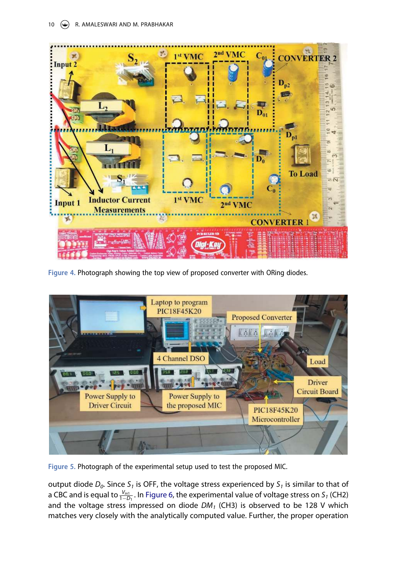

**Figure 4.** Photograph showing the top view of proposed converter with ORing diodes.



**Figure 5.** Photograph of the experimental setup used to test the proposed MIC.

output diode  $D_0$ . Since S<sub>1</sub> is OFF, the voltage stress experienced by S<sub>1</sub> is similar to that of a CBC and is equal to  $\frac{V_{in1}}{1-D_1}$ . In Figure 6, the experimental value of voltage stress on S<sub>1</sub> (CH2) and the voltage stress impressed on diode  $DM_1$  (CH3) is observed to be 128 V which matches very closely with the analytically computed value. Further, the proper operation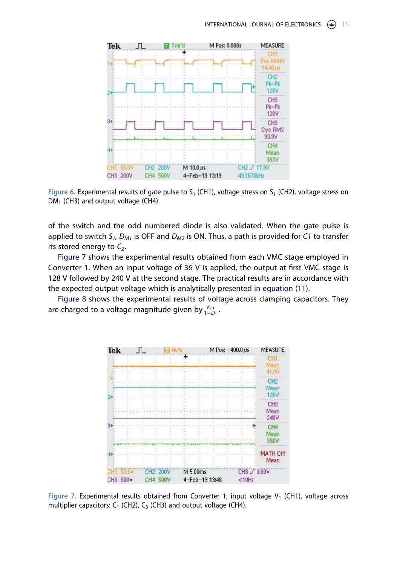

Figure 6. Experimental results of gate pulse to  $S_1$  (CH1), voltage stress on  $S_1$  (CH2), voltage stress on  $DM<sub>1</sub>$  (CH3) and output voltage (CH4).

of the switch and the odd numbered diode is also validated. When the gate pulse is applied to switch S<sub>1</sub>, D<sub>M1</sub> is OFF and D<sub>M2</sub> is ON. Thus, a path is provided for C1 to transfer its stored energy to  $C_2$ .

Figure 7 shows the experimental results obtained from each VMC stage employed in Converter 1. When an input voltage of 36 V is applied, the output at first VMC stage is 128 V followed by 240 V at the second stage. The practical results are in accordance with the expected output voltage which is analytically presented in equation (11).

Figure 8 shows the experimental results of voltage across clamping capacitors. They are charged to a voltage magnitude given by  $\frac{V_{in1}}{1-D_1}$ .



Figure 7. Experimental results obtained from Converter 1; input voltage V<sub>1</sub> (CH1), voltage across multiplier capacitors:  $C_1$  (CH2),  $C_3$  (CH3) and output voltage (CH4).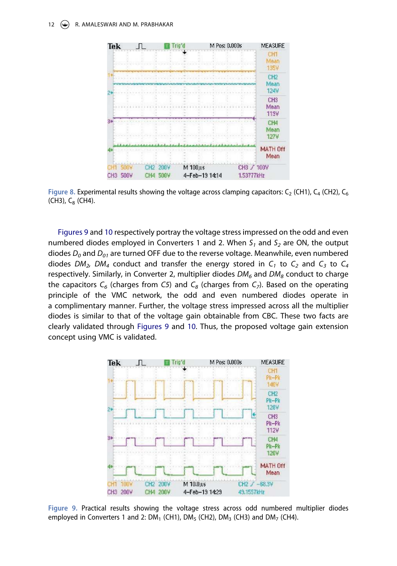#### 12 (C) R. AMALESWARI AND M. PRABHAKAR



Figure 8. Experimental results showing the voltage across clamping capacitors:  $C_2$  (CH1),  $C_4$  (CH2),  $C_6$  $(CH3)$ , C<sub>8</sub> (CH4).

Figures 9 and 10 respectively portray the voltage stress impressed on the odd and even numbered diodes employed in Converters 1 and 2. When  $S_1$  and  $S_2$  are ON, the output diodes  $D_0$  and  $D_{01}$  are turned OFF due to the reverse voltage. Meanwhile, even numbered diodes  $DM_2$ ,  $DM_4$  conduct and transfer the energy stored in  $C_1$  to  $C_2$  and  $C_3$  to  $C_4$ respectively. Similarly, in Converter 2, multiplier diodes  $DM_6$  and  $DM_8$  conduct to charge the capacitors  $C_6$  (charges from C5) and  $C_8$  (charges from  $C_7$ ). Based on the operating principle of the VMC network, the odd and even numbered diodes operate in a complimentary manner. Further, the voltage stress impressed across all the multiplier diodes is similar to that of the voltage gain obtainable from CBC. These two facts are clearly validated through Figures 9 and 10. Thus, the proposed voltage gain extension concept using VMC is validated.



**Figure 9.** Practical results showing the voltage stress across odd numbered multiplier diodes employed in Converters 1 and 2:  $DM_1$  (CH1),  $DM_5$  (CH2),  $DM_3$  (CH3) and  $DM_7$  (CH4).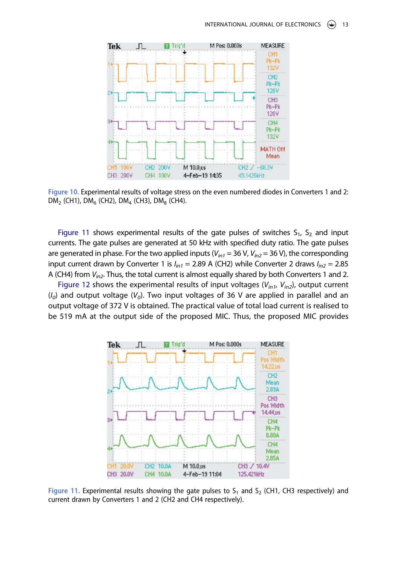

**Figure 10.** Experimental results of voltage stress on the even numbered diodes in Converters 1 and 2:  $DM_2$  (CH1),  $DM_6$  (CH2),  $DM_4$  (CH3),  $DM_8$  (CH4).

Figure 11 shows experimental results of the gate pulses of switches  $S_1$ ,  $S_2$  and input currents. The gate pulses are generated at 50 kHz with specified duty ratio. The gate pulses are generated in phase. For the two applied inputs ( $V_{in1}$  = 36 V,  $V_{in2}$  = 36 V), the corresponding input current drawn by Converter 1 is  $I_{in1} = 2.89$  A (CH2) while Converter 2 draws  $I_{in2} = 2.85$ A (CH4) from  $V_{in2}$ . Thus, the total current is almost equally shared by both Converters 1 and 2.

Figure 12 shows the experimental results of input voltages ( $V_{in1}$ ,  $V_{in2}$ ), output current  $(I<sub>0</sub>)$  and output voltage ( $V<sub>0</sub>$ ). Two input voltages of 36 V are applied in parallel and an output voltage of 372 V is obtained. The practical value of total load current is realised to be 519 mA at the output side of the proposed MIC. Thus, the proposed MIC provides



Figure 11. Experimental results showing the gate pulses to  $S_1$  and  $S_2$  (CH1, CH3 respectively) and current drawn by Converters 1 and 2 (CH2 and CH4 respectively).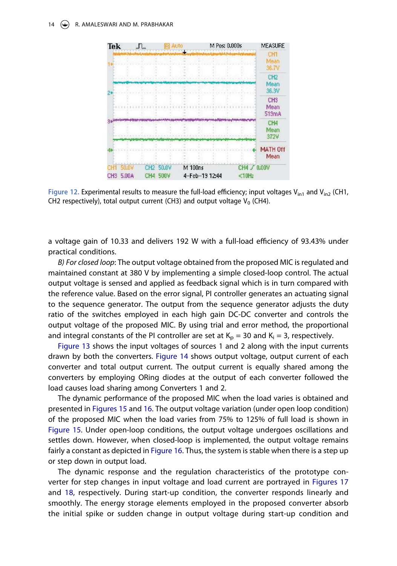#### 14 (C) R. AMALESWARI AND M. PRABHAKAR



Figure 12. Experimental results to measure the full-load efficiency; input voltages  $V_{in1}$  and  $V_{in2}$  (CH1, CH2 respectively), total output current (CH3) and output voltage  $V_0$  (CH4).

a voltage gain of 10.33 and delivers 192 W with a full-load efficiency of 93.43% under practical conditions.

B) For closed loop: The output voltage obtained from the proposed MIC is regulated and maintained constant at 380 V by implementing a simple closed-loop control. The actual output voltage is sensed and applied as feedback signal which is in turn compared with the reference value. Based on the error signal, PI controller generates an actuating signal to the sequence generator. The output from the sequence generator adjusts the duty ratio of the switches employed in each high gain DC-DC converter and controls the output voltage of the proposed MIC. By using trial and error method, the proportional and integral constants of the PI controller are set at  $K_p = 30$  and  $K_i = 3$ , respectively.

Figure 13 shows the input voltages of sources 1 and 2 along with the input currents drawn by both the converters. Figure 14 shows output voltage, output current of each converter and total output current. The output current is equally shared among the converters by employing ORing diodes at the output of each converter followed the load causes load sharing among Converters 1 and 2.

The dynamic performance of the proposed MIC when the load varies is obtained and presented in Figures 15 and 16. The output voltage variation (under open loop condition) of the proposed MIC when the load varies from 75% to 125% of full load is shown in Figure 15. Under open-loop conditions, the output voltage undergoes oscillations and settles down. However, when closed-loop is implemented, the output voltage remains fairly a constant as depicted in Figure 16. Thus, the system is stable when there is a step up or step down in output load.

The dynamic response and the regulation characteristics of the prototype converter for step changes in input voltage and load current are portrayed in Figures 17 and 18, respectively. During start-up condition, the converter responds linearly and smoothly. The energy storage elements employed in the proposed converter absorb the initial spike or sudden change in output voltage during start-up condition and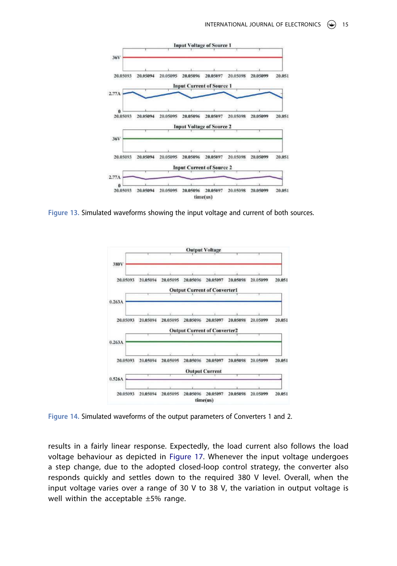

**Figure 13.** Simulated waveforms showing the input voltage and current of both sources.



**Figure 14.** Simulated waveforms of the output parameters of Converters 1 and 2.

results in a fairly linear response. Expectedly, the load current also follows the load voltage behaviour as depicted in Figure 17. Whenever the input voltage undergoes a step change, due to the adopted closed-loop control strategy, the converter also responds quickly and settles down to the required 380 V level. Overall, when the input voltage varies over a range of 30 V to 38 V, the variation in output voltage is well within the acceptable ±5% range.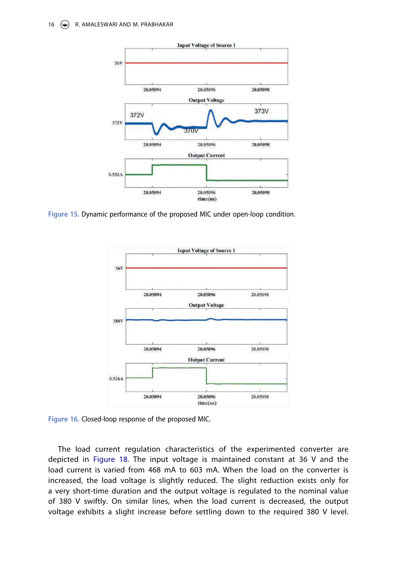

**Figure 15.** Dynamic performance of the proposed MIC under open-loop condition.



**Figure 16.** Closed-loop response of the proposed MIC.

The load current regulation characteristics of the experimented converter are depicted in Figure 18. The input voltage is maintained constant at 36 V and the load current is varied from 468 mA to 603 mA. When the load on the converter is increased, the load voltage is slightly reduced. The slight reduction exists only for a very short-time duration and the output voltage is regulated to the nominal value of 380 V swiftly. On similar lines, when the load current is decreased, the output voltage exhibits a slight increase before settling down to the required 380 V level.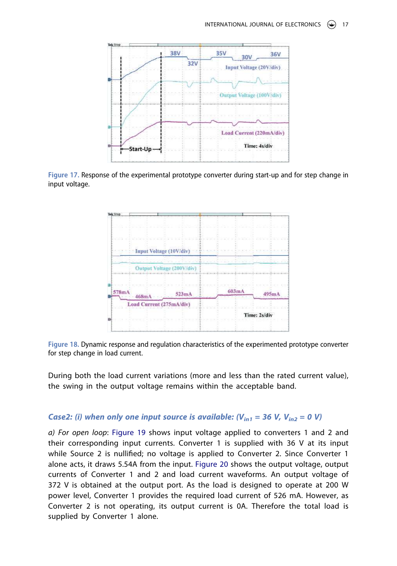

**Figure 17.** Response of the experimental prototype converter during start-up and for step change in input voltage.



**Figure 18.** Dynamic response and regulation characteristics of the experimented prototype converter for step change in load current.

During both the load current variations (more and less than the rated current value), the swing in the output voltage remains within the acceptable band.

## **Case2:** (i) when only one input source is available:  $(V_{in1} = 36 V, V_{in2} = 0 V)$

a) For open loop: Figure 19 shows input voltage applied to converters 1 and 2 and their corresponding input currents. Converter 1 is supplied with 36 V at its input while Source 2 is nullified; no voltage is applied to Converter 2. Since Converter 1 alone acts, it draws 5.54A from the input. Figure 20 shows the output voltage, output currents of Converter 1 and 2 and load current waveforms. An output voltage of 372 V is obtained at the output port. As the load is designed to operate at 200 W power level, Converter 1 provides the required load current of 526 mA. However, as Converter 2 is not operating, its output current is 0A. Therefore the total load is supplied by Converter 1 alone.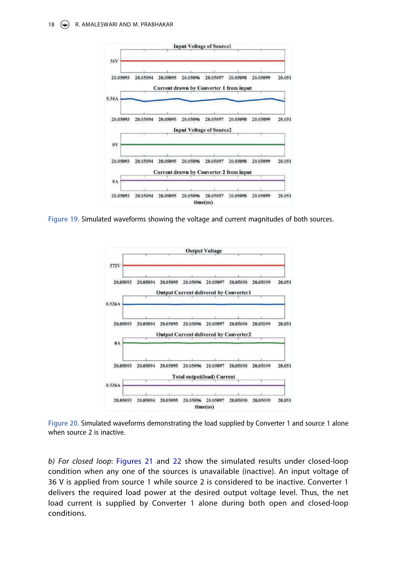

**Figure 19.** Simulated waveforms showing the voltage and current magnitudes of both sources.



**Figure 20.** Simulated waveforms demonstrating the load supplied by Converter 1 and source 1 alone when source 2 is inactive.

b) For closed loop: Figures 21 and 22 show the simulated results under closed-loop condition when any one of the sources is unavailable (inactive). An input voltage of 36 V is applied from source 1 while source 2 is considered to be inactive. Converter 1 delivers the required load power at the desired output voltage level. Thus, the net load current is supplied by Converter 1 alone during both open and closed-loop conditions.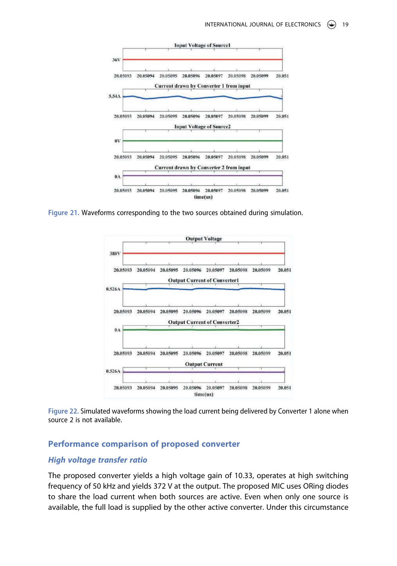

**Figure 21.** Waveforms corresponding to the two sources obtained during simulation.



**Figure 22.** Simulated waveforms showing the load current being delivered by Converter 1 alone when source 2 is not available.

## **Performance comparison of proposed converter**

## **High voltage transfer ratio**

The proposed converter yields a high voltage gain of 10.33, operates at high switching frequency of 50 kHz and yields 372 V at the output. The proposed MIC uses ORing diodes to share the load current when both sources are active. Even when only one source is available, the full load is supplied by the other active converter. Under this circumstance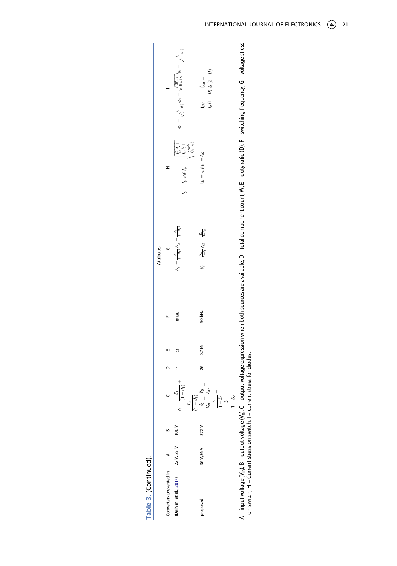|                                                                         |           |      |                                                                                                                                  |    |       |        | Attributes                                                        |                                                                                                               |                                                                                                                                                                                                                                         |
|-------------------------------------------------------------------------|-----------|------|----------------------------------------------------------------------------------------------------------------------------------|----|-------|--------|-------------------------------------------------------------------|---------------------------------------------------------------------------------------------------------------|-----------------------------------------------------------------------------------------------------------------------------------------------------------------------------------------------------------------------------------------|
| Converters presented in A                                               |           |      |                                                                                                                                  |    |       |        |                                                                   |                                                                                                               |                                                                                                                                                                                                                                         |
| (Deihimi et al., 2017) 22 V, 27 V                                       |           | 100V | $\frac{1}{(1-d_1)}$<br>$\frac{1}{2}$                                                                                             |    |       | 15 kHz | $V_{51}=\frac{E_{1}}{(1-d_{1})}V_{52}=\frac{E_{2}}{(1-d_{2})}$    | $I_5 = I_1 \sqrt{d_1} I_2 = \begin{cases} I_2^1 d_2 + I_3 I_6 + I_7 \\ I_2 I_6 + I_8 + I_9 + I_9 \end{cases}$ | $I_{D_1} = \frac{b}{\sqrt{(1-d_1)}} I_{D_2} = \sqrt{\frac{2V_{pp}b_0}{3(v_0+t_0)}} I_{D_3} = \frac{b_0}{\sqrt{(1-d_2)}}$                                                                                                                |
| proposed                                                                | 36 V,36 V | 372V | $\frac{1}{\frac{1}{N_{h1}}}\frac{1}{\frac{1}{N_{h2}}}\frac{1}{\frac{1}{N_{h2}}} =$<br>$-\frac{1}{\rho_1}$<br>$1 - D_2$<br>$\sim$ | 26 | 0.716 | 50 kHz | $V_{s1} = \frac{V_{s1}}{1 - D_1} V_{s2} = \frac{V_{s2}}{1 - D_2}$ | $I_{s_1} = I_{m1} I_{s_2} = I_{m2}$                                                                           | $l_{in}(1-D)$ $l_{in}(2-D)$<br>$=$ $^{100}$<br>$=$ MG                                                                                                                                                                                   |
| on switch, H - Current stress on switch, I - current stress for diodes. |           |      |                                                                                                                                  |    |       |        |                                                                   |                                                                                                               | A – input voltage (V <sub>n</sub> ), B – output voltage (V <sub>o</sub> ), C – output voltage expression when both sources are available, D – total component count, W, E – duty ratio (D), F – switching frequency, G – voltage stress |

| $\ddot{\phantom{a}}$<br>I |                                                                                                                         |
|---------------------------|-------------------------------------------------------------------------------------------------------------------------|
|                           |                                                                                                                         |
| :                         |                                                                                                                         |
|                           |                                                                                                                         |
| $\overline{\phantom{a}}$  |                                                                                                                         |
| ĩ<br>ļ                    |                                                                                                                         |
|                           |                                                                                                                         |
| 5<br>ں<br>سا              |                                                                                                                         |
| $\vdots$                  |                                                                                                                         |
|                           |                                                                                                                         |
| ĺ                         |                                                                                                                         |
| į<br>:<br>:<br>:          |                                                                                                                         |
| 5<br>ī                    |                                                                                                                         |
| I<br>l                    |                                                                                                                         |
|                           |                                                                                                                         |
|                           |                                                                                                                         |
| í<br>J                    |                                                                                                                         |
|                           |                                                                                                                         |
| Į                         |                                                                                                                         |
|                           |                                                                                                                         |
|                           |                                                                                                                         |
|                           | ֧֧֧֦֧ׅ֧֧ׅ֧ׅ֧ׅ֧֧ׅ֧ׅ֧֧ׅ֧֧ׅ֧֛֚֚֚֚֚֚֚֚֚֚֚֚֚֚֚֚֚֚֚֚֚֚֚֚֚֚֚֚֚֚֚֚֚֝֝֓֜֓֝֓֜֜֓֜֝֓֜֜֝֬֜֝֬֜֝<br>֧֢֧֧֧֪֪֪֪֪֪֪֪֧֪֧֪֧֪֧֪֧֪֧֪֧֪֧֚֚֝֝֝֟ |
| ļ<br>ı                    |                                                                                                                         |
| l<br>i<br>į<br>ì<br>5     | ・・・・・・・・・<br>ĺ<br>j<br>vent si                                                                                          |
| ā<br>١<br>֠               | Ū                                                                                                                       |
| ֚֬֕                       | I                                                                                                                       |
|                           |                                                                                                                         |
|                           |                                                                                                                         |
| I                         |                                                                                                                         |
|                           | l                                                                                                                       |
|                           | I                                                                                                                       |
|                           |                                                                                                                         |
| l                         |                                                                                                                         |

Table 3. (Continued). **Table 3.** (Continued).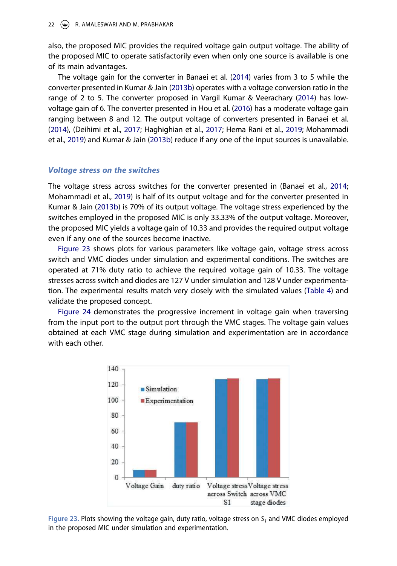also, the proposed MIC provides the required voltage gain output voltage. The ability of the proposed MIC to operate satisfactorily even when only one source is available is one of its main advantages.

The voltage gain for the converter in Banaei et al. (2014) varies from 3 to 5 while the converter presented in Kumar & Jain (2013b) operates with a voltage conversion ratio in the range of 2 to 5. The converter proposed in Vargil Kumar & Veerachary (2014) has lowvoltage gain of 6. The converter presented in Hou et al. (2016) has a moderate voltage gain ranging between 8 and 12. The output voltage of converters presented in Banaei et al. (2014), (Deihimi et al., 2017; Haghighian et al., 2017; Hema Rani et al., 2019; Mohammadi et al., 2019) and Kumar & Jain (2013b) reduce if any one of the input sources is unavailable.

## **Voltage stress on the switches**

The voltage stress across switches for the converter presented in (Banaei et al., 2014; Mohammadi et al., 2019) is half of its output voltage and for the converter presented in Kumar & Jain (2013b) is 70% of its output voltage. The voltage stress experienced by the switches employed in the proposed MIC is only 33.33% of the output voltage. Moreover, the proposed MIC yields a voltage gain of 10.33 and provides the required output voltage even if any one of the sources become inactive.

Figure 23 shows plots for various parameters like voltage gain, voltage stress across switch and VMC diodes under simulation and experimental conditions. The switches are operated at 71% duty ratio to achieve the required voltage gain of 10.33. The voltage stresses across switch and diodes are 127 V under simulation and 128 V under experimentation. The experimental results match very closely with the simulated values (Table 4) and validate the proposed concept.

Figure 24 demonstrates the progressive increment in voltage gain when traversing from the input port to the output port through the VMC stages. The voltage gain values obtained at each VMC stage during simulation and experimentation are in accordance with each other.



Figure 23. Plots showing the voltage gain, duty ratio, voltage stress on  $S<sub>1</sub>$  and VMC diodes employed in the proposed MIC under simulation and experimentation.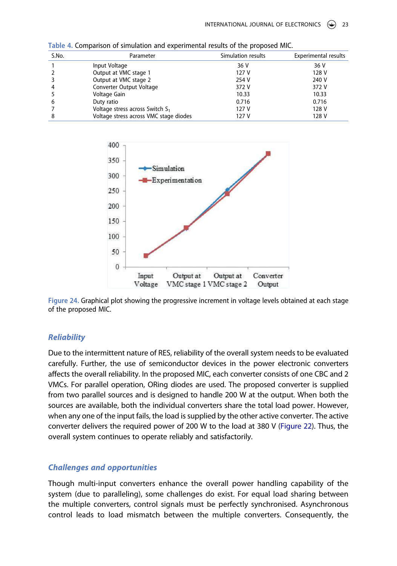| S.No. | Parameter                              | Simulation results | <b>Experimental results</b> |
|-------|----------------------------------------|--------------------|-----------------------------|
|       | Input Voltage                          | 36 V               | 36 V                        |
|       | Output at VMC stage 1                  | 127 V              | 128 V                       |
|       | Output at VMC stage 2                  | 254 V              | 240 V                       |
|       | Converter Output Voltage               | 372 V              | 372 V                       |
|       | Voltage Gain                           | 10.33              | 10.33                       |
| b     | Duty ratio                             | 0.716              | 0.716                       |
|       | Voltage stress across Switch $S_1$     | 127 V              | 128 V                       |
|       | Voltage stress across VMC stage diodes | 127 V              | 128 V                       |

**Table 4.** Comparison of simulation and experimental results of the proposed MIC.



**Figure 24.** Graphical plot showing the progressive increment in voltage levels obtained at each stage of the proposed MIC.

## **Reliability**

Due to the intermittent nature of RES, reliability of the overall system needs to be evaluated carefully. Further, the use of semiconductor devices in the power electronic converters affects the overall reliability. In the proposed MIC, each converter consists of one CBC and 2 VMCs. For parallel operation, ORing diodes are used. The proposed converter is supplied from two parallel sources and is designed to handle 200 W at the output. When both the sources are available, both the individual converters share the total load power. However, when any one of the input fails, the load is supplied by the other active converter. The active converter delivers the required power of 200 W to the load at 380 V (Figure 22). Thus, the overall system continues to operate reliably and satisfactorily.

## **Challenges and opportunities**

Though multi-input converters enhance the overall power handling capability of the system (due to paralleling), some challenges do exist. For equal load sharing between the multiple converters, control signals must be perfectly synchronised. Asynchronous control leads to load mismatch between the multiple converters. Consequently, the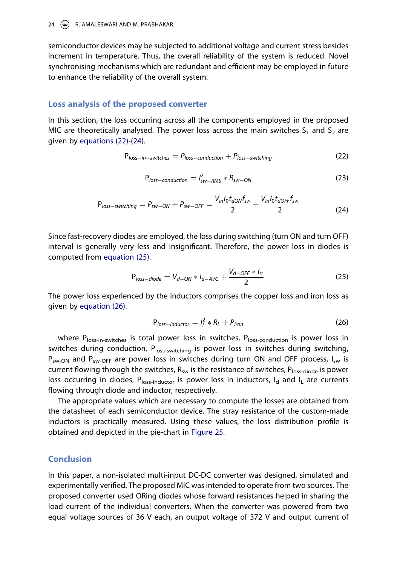semiconductor devices may be subjected to additional voltage and current stress besides increment in temperature. Thus, the overall reliability of the system is reduced. Novel synchronising mechanisms which are redundant and efficient may be employed in future to enhance the reliability of the overall system.

## **Loss analysis of the proposed converter**

In this section, the loss occurring across all the components employed in the proposed MIC are theoretically analysed. The power loss across the main switches  $S_1$  and  $S_2$  are given by equations (22)-(24).

$$
Ploss-in-switches = Ploss-conduction + Ploss-switching
$$
 (22)

$$
P_{loss-conduction} = I_{sw-RMS}^2 * R_{sw-ON}
$$
 (23)

$$
P_{loss-switching} = P_{sw-ON} + P_{sw-OFF} = \frac{V_{in}I_0t_{dON}f_{sw}}{2} + \frac{V_{in}I_0t_{dOFF}f_{sw}}{2}
$$
(24)

Since fast-recovery diodes are employed, the loss during switching (turn ON and turn OFF) interval is generally very less and insignificant. Therefore, the power loss in diodes is computed from equation (25).

$$
P_{loss-diode} = V_{d-ON} * I_{d-AVG} + \frac{V_{d-OFF} * I_{rr}}{2}
$$
 (25)

The power loss experienced by the inductors comprises the copper loss and iron loss as given by equation (26).

$$
P_{loss-inductor} = I_L^2 * R_L + P_{iron}
$$
 (26)

where  $P_{loss-in-switches}$  is total power loss in switches,  $P_{loss-conduction}$  is power loss in switches during conduction,  $P_{loss-switching}$  is power loss in switches during switching,  $P_{sw-ON}$  and  $P_{sw-OFF}$  are power loss in switches during turn ON and OFF process,  $I_{sw}$  is current flowing through the switches,  $R_{sw}$  is the resistance of switches,  $P_{loss\text{-diode}}$  is power loss occurring in diodes,  $P_{loss-inductor}$  is power loss in inductors,  $I_d$  and  $I_l$  are currents flowing through diode and inductor, respectively.

The appropriate values which are necessary to compute the losses are obtained from the datasheet of each semiconductor device. The stray resistance of the custom-made inductors is practically measured. Using these values, the loss distribution profile is obtained and depicted in the pie-chart in Figure 25.

## **Conclusion**

In this paper, a non-isolated multi-input DC-DC converter was designed, simulated and experimentally verified. The proposed MIC was intended to operate from two sources. The proposed converter used ORing diodes whose forward resistances helped in sharing the load current of the individual converters. When the converter was powered from two equal voltage sources of 36 V each, an output voltage of 372 V and output current of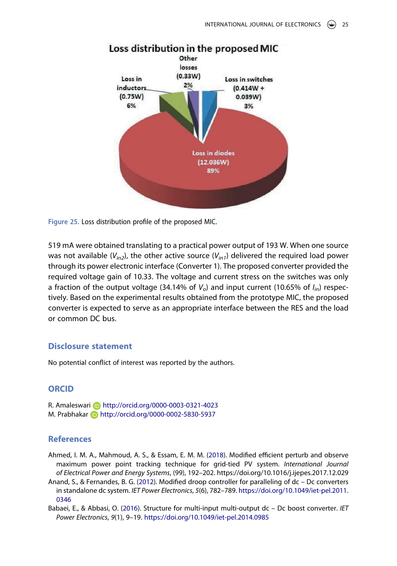

Loss distribution in the proposed MIC

**Figure 25.** Loss distribution profile of the proposed MIC.

519 mA were obtained translating to a practical power output of 193 W. When one source was not available  $(V_{in2})$ , the other active source  $(V_{in1})$  delivered the required load power through its power electronic interface (Converter 1). The proposed converter provided the required voltage gain of 10.33. The voltage and current stress on the switches was only a fraction of the output voltage (34.14% of  $V_o$ ) and input current (10.65% of  $I_{in}$ ) respectively. Based on the experimental results obtained from the prototype MIC, the proposed converter is expected to serve as an appropriate interface between the RES and the load or common DC bus.

## **Disclosure statement**

No potential conflict of interest was reported by the authors.

## **ORCID**

R. Amaleswari **b** http://orcid.org/0000-0003-0321-4023 M. Prabhakar **http://orcid.org/0000-0002-5830-5937** 

## **References**

- Ahmed, I. M. A., Mahmoud, A. S., & Essam, E. M. M. (2018). Modified efficient perturb and observe maximum power point tracking technique for grid-tied PV system. International Journal of Electrical Power and Energy Systems, (99), 192–202. https://doi.org/10.1016/j.ijepes.2017.12.029
- Anand, S., & Fernandes, B. G. (2012). Modified droop controller for paralleling of dc Dc converters in standalone dc system. IET Power Electronics, 5(6), 782–789. https://doi.org/10.1049/iet-pel.2011. 0346
- Babaei, E., & Abbasi, O. (2016). Structure for multi-input multi-output dc Dc boost converter. IET Power Electronics, 9(1), 9–19. https://doi.org/10.1049/iet-pel.2014.0985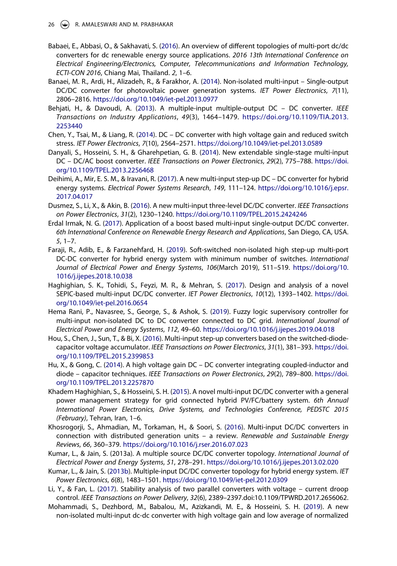- Babaei, E., Abbasi, O., & Sakhavati, S. (2016). An overview of different topologies of multi-port dc/dc converters for dc renewable energy source applications. 2016 13th International Conference on Electrical Engineering/Electronics, Computer, Telecommunications and Information Technology, ECTI-CON 2016, Chiang Mai, Thailand. 2, 1–6.
- Banaei, M. R., Ardi, H., Alizadeh, R., & Farakhor, A. (2014). Non-isolated multi-input Single-output DC/DC converter for photovoltaic power generation systems. IET Power Electronics, 7(11), 2806–2816. https://doi.org/10.1049/iet-pel.2013.0977
- Behjati, H., & Davoudi, A. (2013). A multiple-input multiple-output DC DC converter. IEEE Transactions on Industry Applications, 49(3), 1464–1479. https://doi.org/10.1109/TIA.2013. 2253440
- Chen, Y., Tsai, M., & Liang, R. (2014). DC DC converter with high voltage gain and reduced switch stress. IET Power Electronics, 7(10), 2564–2571. https://doi.org/10.1049/iet-pel.2013.0589
- Danyali, S., Hosseini, S. H., & Gharehpetian, G. B. (2014). New extendable single-stage multi-input DC – DC/AC boost converter. IEEE Transactions on Power Electronics, 29(2), 775–788. https://doi. org/10.1109/TPEL.2013.2256468
- Deihimi, A., Mir, E. S. M., & Iravani, R. (2017). A new multi-input step-up DC DC converter for hybrid energy systems. Electrical Power Systems Research, 149, 111–124. https://doi.org/10.1016/j.epsr. 2017.04.017
- Dusmez, S., Li, X., & Akin, B. (2016). A new multi-input three-level DC/DC converter. IEEE Transactions on Power Electronics, 31(2), 1230–1240. https://doi.org/10.1109/TPEL.2015.2424246
- Erdal Irmak, N. G. (2017). Application of a boost based multi-input single-output DC/DC converter. 6th International Conference on Renewable Energy Research and Applications, San Diego, CA, USA. 5, 1–7.
- Faraji, R., Adib, E., & Farzanehfard, H. (2019). Soft-switched non-isolated high step-up multi-port DC-DC converter for hybrid energy system with minimum number of switches. International Journal of Electrical Power and Energy Systems, 106(March 2019), 511–519. https://doi.org/10. 1016/j.ijepes.2018.10.038
- Haghighian, S. K., Tohidi, S., Feyzi, M. R., & Mehran, S. (2017). Design and analysis of a novel SEPIC-based multi-input DC/DC converter. IET Power Electronics, 10(12), 1393–1402. https://doi. org/10.1049/iet-pel.2016.0654
- Hema Rani, P., Navasree, S., George, S., & Ashok, S. (2019). Fuzzy logic supervisory controller for multi-input non-isolated DC to DC converter connected to DC grid. International Journal of Electrical Power and Energy Systems, 112, 49–60. https://doi.org/10.1016/j.ijepes.2019.04.018
- Hou, S., Chen, J., Sun, T., & Bi, X. (2016). Multi-input step-up converters based on the switched-diodecapacitor voltage accumulator. IEEE Transactions on Power Electronics, 31(1), 381–393. https://doi. org/10.1109/TPEL.2015.2399853
- Hu, X., & Gong, C. (2014). A high voltage gain DC DC converter integrating coupled-inductor and diode – capacitor techniques. IEEE Transactions on Power Electronics, 29(2), 789–800. https://doi. org/10.1109/TPEL.2013.2257870
- Khadem Haghighian, S., & Hosseini, S. H. (2015). A novel multi-input DC/DC converter with a general power management strategy for grid connected hybrid PV/FC/battery system. 6th Annual International Power Electronics, Drive Systems, and Technologies Conference, PEDSTC 2015 (February), Tehran, Iran, 1–6.
- Khosrogorji, S., Ahmadian, M., Torkaman, H., & Soori, S. (2016). Multi-input DC/DC converters in connection with distributed generation units – a review. Renewable and Sustainable Energy Reviews, 66, 360–379. https://doi.org/10.1016/j.rser.2016.07.023
- Kumar, L., & Jain, S. (2013a). A multiple source DC/DC converter topology. International Journal of Electrical Power and Energy Systems, 51, 278–291. https://doi.org/10.1016/j.ijepes.2013.02.020
- Kumar, L., & Jain, S. (2013b). Multiple-input DC/DC converter topology for hybrid energy system. IET Power Electronics, 6(8), 1483–1501. https://doi.org/10.1049/iet-pel.2012.0309
- Li, Y., & Fan, L. (2017). Stability analysis of two parallel converters with voltage current droop control. IEEE Transactions on Power Delivery, 32(6), 2389–2397.doi:10.1109/TPWRD.2017.2656062.
- Mohammadi, S., Dezhbord, M., Babalou, M., Azizkandi, M. E., & Hosseini, S. H. (2019). A new non-isolated multi-input dc-dc converter with high voltage gain and low average of normalized